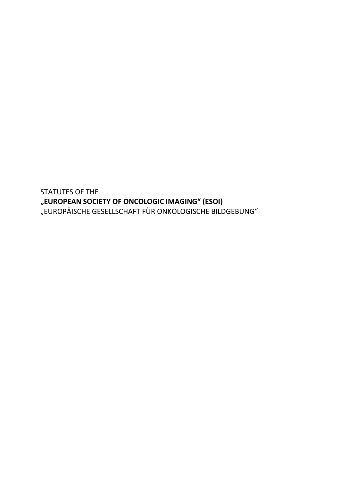STATUTES OF THE **"EUROPEAN SOCIETY OF ONCOLOGIC IMAGING" (ESOI)** "EUROPÄISCHE GESELLSCHAFT FÜR ONKOLOGISCHE BILDGEBUNG"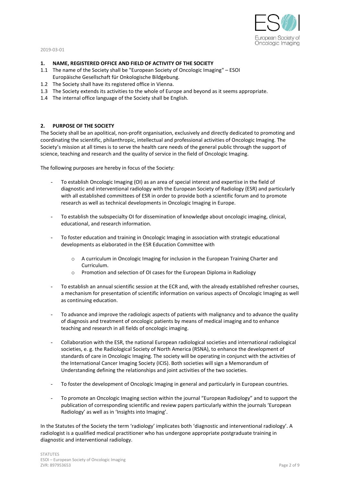

## **1. NAME, REGISTERED OFFICE AND FIELD OF ACTIVITY OF THE SOCIETY**

- 1.1 The name of the Society shall be "European Society of Oncologic Imaging" ESOI Europäische Gesellschaft für Onkologische Bildgebung.
- 1.2 The Society shall have its registered office in Vienna.
- 1.3 The Society extends its activities to the whole of Europe and beyond as it seems appropriate.
- 1.4 The internal office language of the Society shall be English.

## **2. PURPOSE OF THE SOCIETY**

The Society shall be an apolitical, non-profit organisation, exclusively and directly dedicated to promoting and coordinating the scientific, philanthropic, intellectual and professional activities of Oncologic Imaging. The Society's mission at all times is to serve the health care needs of the general public through the support of science, teaching and research and the quality of service in the field of Oncologic Imaging.

The following purposes are hereby in focus of the Society:

- To establish Oncologic Imaging (OI) as an area of special interest and expertise in the field of diagnostic and interventional radiology with the European Society of Radiology (ESR) and particularly with all established committees of ESR in order to provide both a scientific forum and to promote research as well as technical developments in Oncologic Imaging in Europe.
- To establish the subspecialty OI for dissemination of knowledge about oncologic imaging, clinical, educational, and research information.
- To foster education and training in Oncologic Imaging in association with strategic educational developments as elaborated in the ESR Education Committee with
	- o A curriculum in Oncologic Imaging for inclusion in the European Training Charter and Curriculum.
	- o Promotion and selection of OI cases for the European Diploma in Radiology
- To establish an annual scientific session at the ECR and, with the already established refresher courses, a mechanism for presentation of scientific information on various aspects of Oncologic Imaging as well as continuing education.
- To advance and improve the radiologic aspects of patients with malignancy and to advance the quality of diagnosis and treatment of oncologic patients by means of medical imaging and to enhance teaching and research in all fields of oncologic imaging.
- Collaboration with the ESR, the national European radiological societies and international radiological societies, e. g. the Radiological Society of North America (RSNA), to enhance the development of standards of care in Oncologic Imaging. The society will be operating in conjunct with the activities of the International Cancer Imaging Society (ICIS). Both societies will sign a Memorandum of Understanding defining the relationships and joint activities of the two societies.
- To foster the development of Oncologic Imaging in general and particularly in European countries.
- To promote an Oncologic Imaging section within the journal "European Radiology" and to support the publication of corresponding scientific and review papers particularly within the journals 'European Radiology' as well as in 'Insights into Imaging'.

In the Statutes of the Society the term 'radiology' implicates both 'diagnostic and interventional radiology'. A radiologist is a qualified medical practitioner who has undergone appropriate postgraduate training in diagnostic and interventional radiology.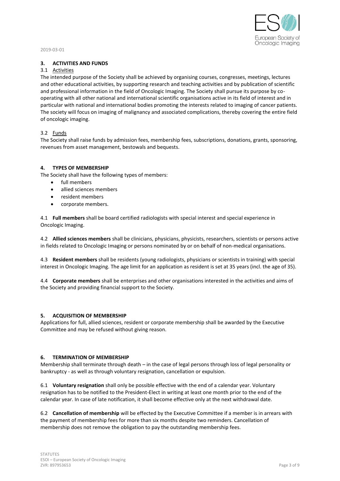

# **3. ACTIVITIES AND FUNDS**

# 3.1 Activities

The intended purpose of the Society shall be achieved by organising courses, congresses, meetings, lectures and other educational activities, by supporting research and teaching activities and by publication of scientific and professional information in the field of Oncologic Imaging. The Society shall pursue its purpose by cooperating with all other national and international scientific organisations active in its field of interest and in particular with national and international bodies promoting the interests related to imaging of cancer patients. The society will focus on imaging of malignancy and associated complications, thereby covering the entire field of oncologic imaging.

## 3.2 Funds

The Society shall raise funds by admission fees, membership fees, subscriptions, donations, grants, sponsoring, revenues from asset management, bestowals and bequests.

## **4. TYPES OF MEMBERSHIP**

The Society shall have the following types of members:

- full members
- allied sciences members
- resident members
- corporate members.

4.1 **Full members** shall be board certified radiologists with special interest and special experience in Oncologic Imaging.

4.2 **Allied sciences members** shall be clinicians, physicians, physicists, researchers, scientists or persons active in fields related to Oncologic Imaging or persons nominated by or on behalf of non-medical organisations.

4.3 **Resident members** shall be residents (young radiologists, physicians or scientists in training) with special interest in Oncologic Imaging. The age limit for an application as resident is set at 35 years (incl. the age of 35).

4.4 **Corporate members** shall be enterprises and other organisations interested in the activities and aims of the Society and providing financial support to the Society.

## **5. ACQUISITION OF MEMBERSHIP**

Applications for full, allied sciences, resident or corporate membership shall be awarded by the Executive Committee and may be refused without giving reason.

## **6. TERMINATION OF MEMBERSHIP**

Membership shall terminate through death – in the case of legal persons through loss of legal personality or bankruptcy - as well as through voluntary resignation, cancellation or expulsion.

6.1 **Voluntary resignation** shall only be possible effective with the end of a calendar year. Voluntary resignation has to be notified to the President-Elect in writing at least one month prior to the end of the calendar year. In case of late notification, it shall become effective only at the next withdrawal date.

6.2 **Cancellation of membership** will be effected by the Executive Committee if a member is in arrears with the payment of membership fees for more than six months despite two reminders. Cancellation of membership does not remove the obligation to pay the outstanding membership fees.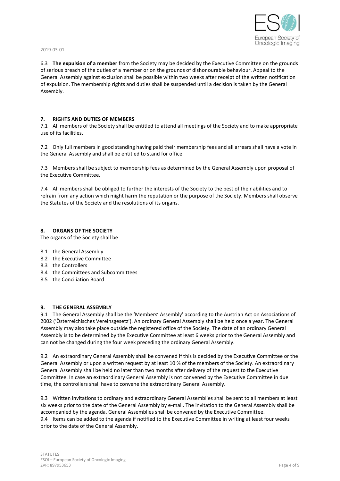

6.3 **The expulsion of a member** from the Society may be decided by the Executive Committee on the grounds of serious breach of the duties of a member or on the grounds of dishonourable behaviour. Appeal to the General Assembly against exclusion shall be possible within two weeks after receipt of the written notification of expulsion. The membership rights and duties shall be suspended until a decision is taken by the General Assembly.

## **7. RIGHTS AND DUTIES OF MEMBERS**

7.1 All members of the Society shall be entitled to attend all meetings of the Society and to make appropriate use of its facilities.

7.2 Only full members in good standing having paid their membership fees and all arrears shall have a vote in the General Assembly and shall be entitled to stand for office.

7.3 Members shall be subject to membership fees as determined by the General Assembly upon proposal of the Executive Committee.

7.4 All members shall be obliged to further the interests of the Society to the best of their abilities and to refrain from any action which might harm the reputation or the purpose of the Society. Members shall observe the Statutes of the Society and the resolutions of its organs.

### **8. ORGANS OF THE SOCIETY**

The organs of the Society shall be

- 8.1 the General Assembly
- 8.2 the Executive Committee
- 8.3 the Controllers
- 8.4 the Committees and Subcommittees
- 8.5 the Conciliation Board

#### **9. THE GENERAL ASSEMBLY**

9.1 The General Assembly shall be the 'Members' Assembly' according to the Austrian Act on Associations of 2002 ('Österreichisches Vereinsgesetz'). An ordinary General Assembly shall be held once a year. The General Assembly may also take place outside the registered office of the Society. The date of an ordinary General Assembly is to be determined by the Executive Committee at least 6 weeks prior to the General Assembly and can not be changed during the four week preceding the ordinary General Assembly.

9.2 An extraordinary General Assembly shall be convened if this is decided by the Executive Committee or the General Assembly or upon a written request by at least 10 % of the members of the Society. An extraordinary General Assembly shall be held no later than two months after delivery of the request to the Executive Committee. In case an extraordinary General Assembly is not convened by the Executive Committee in due time, the controllers shall have to convene the extraordinary General Assembly.

9.3 Written invitations to ordinary and extraordinary General Assemblies shall be sent to all members at least six weeks prior to the date of the General Assembly by e-mail. The invitation to the General Assembly shall be accompanied by the agenda. General Assemblies shall be convened by the Executive Committee. 9.4 Items can be added to the agenda if notified to the Executive Committee in writing at least four weeks prior to the date of the General Assembly.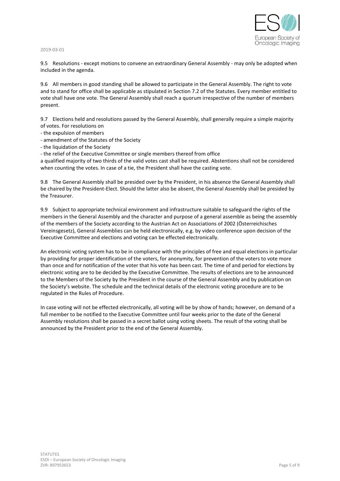

9.5 Resolutions - except motions to convene an extraordinary General Assembly - may only be adopted when included in the agenda.

9.6 All members in good standing shall be allowed to participate in the General Assembly. The right to vote and to stand for office shall be applicable as stipulated in Section 7.2 of the Statutes. Every member entitled to vote shall have one vote. The General Assembly shall reach a quorum irrespective of the number of members present.

9.7 Elections held and resolutions passed by the General Assembly, shall generally require a simple majority of votes. For resolutions on

- the expulsion of members
- amendment of the Statutes of the Society
- the liquidation of the Society

- the relief of the Executive Committee or single members thereof from office

a qualified majority of two thirds of the valid votes cast shall be required. Abstentions shall not be considered when counting the votes. In case of a tie, the President shall have the casting vote.

9.8 The General Assembly shall be presided over by the President, in his absence the General Assembly shall be chaired by the President-Elect. Should the latter also be absent, the General Assembly shall be presided by the Treasurer.

9.9 Subject to appropriate technical environment and infrastructure suitable to safeguard the rights of the members in the General Assembly and the character and purpose of a general assemble as being the assembly of the members of the Society according to the Austrian Act on Associations of 2002 (Österreichisches Vereinsgesetz), General Assemblies can be held electronically, e.g. by video conference upon decision of the Executive Committee and elections and voting can be effected electronically.

An electronic voting system has to be in compliance with the principles of free and equal elections in particular by providing for proper identification of the voters, for anonymity, for prevention of the voters to vote more than once and for notification of the voter that his vote has been cast. The time of and period for elections by electronic voting are to be decided by the Executive Committee. The results of elections are to be announced to the Members of the Society by the President in the course of the General Assembly and by publication on the Society's website. The schedule and the technical details of the electronic voting procedure are to be regulated in the Rules of Procedure.

In case voting will not be effected electronically, all voting will be by show of hands; however, on demand of a full member to be notified to the Executive Committee until four weeks prior to the date of the General Assembly resolutions shall be passed in a secret ballot using voting sheets. The result of the voting shall be announced by the President prior to the end of the General Assembly.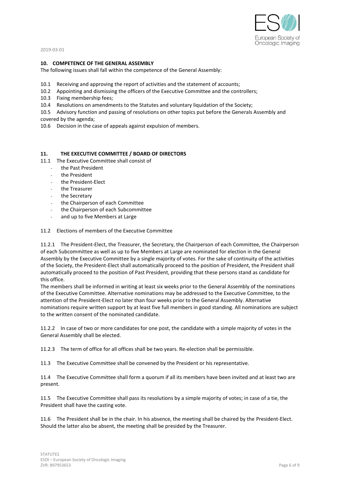

### **10. COMPETENCE OF THE GENERAL ASSEMBLY**

The following issues shall fall within the competence of the General Assembly:

- 10.1 Receiving and approving the report of activities and the statement of accounts;
- 10.2 Appointing and dismissing the officers of the Executive Committee and the controllers;
- 10.3 Fixing membership fees;
- 10.4 Resolutions on amendments to the Statutes and voluntary liquidation of the Society;
- 10.5 Advisory function and passing of resolutions on other topics put before the Generals Assembly and
- covered by the agenda;
- 10.6 Decision in the case of appeals against expulsion of members.

### **11. THE EXECUTIVE COMMITTEE / BOARD OF DIRECTORS**

- 11.1 The Executive Committee shall consist of
	- the Past President
	- the President
	- the President-Elect
	- the Treasurer
	- the Secretary
	- the Chairperson of each Committee
	- the Chairperson of each Subcommittee
	- and up to five Members at Large

#### 11.2 Elections of members of the Executive Committee

11.2.1 The President-Elect, the Treasurer, the Secretary, the Chairperson of each Committee, the Chairperson of each Subcommittee as well as up to five Members at Large are nominated for election in the General Assembly by the Executive Committee by a single majority of votes. For the sake of continuity of the activities of the Society, the President-Elect shall automatically proceed to the position of President, the President shall automatically proceed to the position of Past President, providing that these persons stand as candidate for this office.

The members shall be informed in writing at least six weeks prior to the General Assembly of the nominations of the Executive Committee. Alternative nominations may be addressed to the Executive Committee, to the attention of the President-Elect no later than four weeks prior to the General Assembly. Alternative nominations require written support by at least five full members in good standing. All nominations are subject to the written consent of the nominated candidate.

11.2.2 In case of two or more candidates for one post, the candidate with a simple majority of votes in the General Assembly shall be elected.

11.2.3 The term of office for all offices shall be two years. Re-election shall be permissible.

11.3 The Executive Committee shall be convened by the President or his representative.

11.4 The Executive Committee shall form a quorum if all its members have been invited and at least two are present.

11.5 The Executive Committee shall pass its resolutions by a simple majority of votes; in case of a tie, the President shall have the casting vote.

11.6 The President shall be in the chair. In his absence, the meeting shall be chaired by the President-Elect. Should the latter also be absent, the meeting shall be presided by the Treasurer.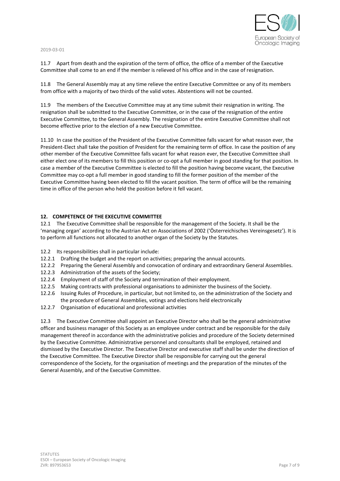

11.7 Apart from death and the expiration of the term of office, the office of a member of the Executive Committee shall come to an end if the member is relieved of his office and in the case of resignation.

11.8 The General Assembly may at any time relieve the entire Executive Committee or any of its members from office with a majority of two thirds of the valid votes. Abstentions will not be counted.

11.9 The members of the Executive Committee may at any time submit their resignation in writing. The resignation shall be submitted to the Executive Committee, or in the case of the resignation of the entire Executive Committee, to the General Assembly. The resignation of the entire Executive Committee shall not become effective prior to the election of a new Executive Committee.

11.10 In case the position of the President of the Executive Committee falls vacant for what reason ever, the President-Elect shall take the position of President for the remaining term of office. In case the position of any other member of the Executive Committee falls vacant for what reason ever, the Executive Committee shall either elect one of its members to fill this position or co-opt a full member in good standing for that position. In case a member of the Executive Committee is elected to fill the position having become vacant, the Executive Committee may co-opt a full member in good standing to fill the former position of the member of the Executive Committee having been elected to fill the vacant position. The term of office will be the remaining time in office of the person who held the position before it fell vacant.

## **12. COMPETENCE OF THE EXECUTIVE COMMITTEE**

12.1 The Executive Committee shall be responsible for the management of the Society. It shall be the 'managing organ' according to the Austrian Act on Associations of 2002 ('Österreichisches Vereinsgesetz'). It is to perform all functions not allocated to another organ of the Society by the Statutes.

- 12.2 Its responsibilities shall in particular include:
- 12.2.1 Drafting the budget and the report on activities; preparing the annual accounts.
- 12.2.2 Preparing the General Assembly and convocation of ordinary and extraordinary General Assemblies.
- 12.2.3 Administration of the assets of the Society;
- 12.2.4 Employment of staff of the Society and termination of their employment.
- 12.2.5 Making contracts with professional organisations to administer the business of the Society.
- 12.2.6 Issuing Rules of Procedure, in particular, but not limited to, on the administration of the Society and the procedure of General Assemblies, votings and elections held electronically
- 12.2.7 Organisation of educational and professional activities

12.3 The Executive Committee shall appoint an Executive Director who shall be the general administrative officer and business manager of this Society as an employee under contract and be responsible for the daily management thereof in accordance with the administrative policies and procedure of the Society determined by the Executive Committee. Administrative personnel and consultants shall be employed, retained and dismissed by the Executive Director. The Executive Director and executive staff shall be under the direction of the Executive Committee. The Executive Director shall be responsible for carrying out the general correspondence of the Society, for the organisation of meetings and the preparation of the minutes of the General Assembly, and of the Executive Committee.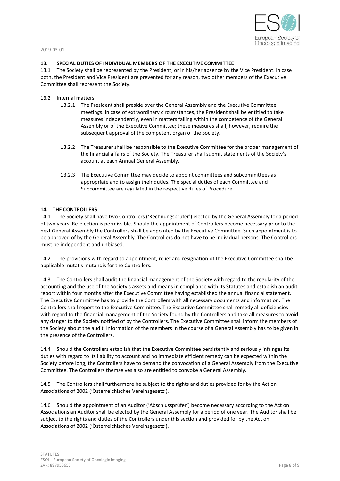

## **13. SPECIAL DUTIES OF INDIVIDUAL MEMBERS OF THE EXECUTIVE COMMITTEE**

13.1 The Society shall be represented by the President, or in his/her absence by the Vice President. In case both, the President and Vice President are prevented for any reason, two other members of the Executive Committee shall represent the Society.

- 13.2 Internal matters:
	- 13.2.1 The President shall preside over the General Assembly and the Executive Committee meetings. In case of extraordinary circumstances, the President shall be entitled to take measures independently, even in matters falling within the competence of the General Assembly or of the Executive Committee; these measures shall, however, require the subsequent approval of the competent organ of the Society.
	- 13.2.2 The Treasurer shall be responsible to the Executive Committee for the proper management of the financial affairs of the Society. The Treasurer shall submit statements of the Society's account at each Annual General Assembly.
	- 13.2.3 The Executive Committee may decide to appoint committees and subcommittees as appropriate and to assign their duties. The special duties of each Committee and Subcommittee are regulated in the respective Rules of Procedure.

## **14. THE CONTROLLERS**

14.1 The Society shall have two Controllers ('Rechnungsprüfer') elected by the General Assembly for a period of two years. Re-election is permissible. Should the appointment of Controllers become necessary prior to the next General Assembly the Controllers shall be appointed by the Executive Committee. Such appointment is to be approved of by the General Assembly. The Controllers do not have to be individual persons. The Controllers must be independent and unbiased.

14.2 The provisions with regard to appointment, relief and resignation of the Executive Committee shall be applicable mutatis mutandis for the Controllers.

14.3 The Controllers shall audit the financial management of the Society with regard to the regularity of the accounting and the use of the Society's assets and means in compliance with its Statutes and establish an audit report within four months after the Executive Committee having established the annual financial statement. The Executive Committee has to provide the Controllers with all necessary documents and information. The Controllers shall report to the Executive Committee. The Executive Committee shall remedy all deficiencies with regard to the financial management of the Society found by the Controllers and take all measures to avoid any danger to the Society notified of by the Controllers. The Executive Committee shall inform the members of the Society about the audit. Information of the members in the course of a General Assembly has to be given in the presence of the Controllers.

14.4 Should the Controllers establish that the Executive Committee persistently and seriously infringes its duties with regard to its liability to account and no immediate efficient remedy can be expected within the Society before long, the Controllers have to demand the convocation of a General Assembly from the Executive Committee. The Controllers themselves also are entitled to convoke a General Assembly.

14.5 The Controllers shall furthermore be subject to the rights and duties provided for by the Act on Associations of 2002 ('Österreichisches Vereinsgesetz').

14.6 Should the appointment of an Auditor ('Abschlussprüfer') become necessary according to the Act on Associations an Auditor shall be elected by the General Assembly for a period of one year. The Auditor shall be subject to the rights and duties of the Controllers under this section and provided for by the Act on Associations of 2002 ('Österreichisches Vereinsgesetz').